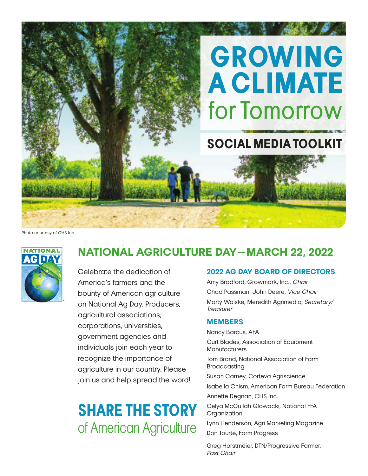

Photo courtesy of CHS Inc.



### **NATIONAL AGRICULTURE DAY—MARCH 22, 2022**

Celebrate the dedication of America's farmers and the bounty of American agriculture on National Ag Day. Producers, agricultural associations, corporations, universities, government agencies and individuals join each year to recognize the importance of agriculture in our country. Please join us and help spread the word!

# **SHARE THE STORY**  of American Agriculture

### **2022 AG DAY BOARD OF DIRECTORS**

Amy Bradford, Growmark, Inc., Chair Chad Passman, John Deere, Vice Chair Marty Wolske, Meredith Agrimedia, Secretary/ **Treasurer** 

#### **MEMBERS**

Nancy Barcus, AFA

Curt Blades, Association of Equipment **Manufacturers** 

Tom Brand, National Association of Farm Broadcasting

Susan Carney, Corteva Agriscience

Isabella Chism, American Farm Bureau Federation Annette Degnan, CHS Inc.

Celya McCullah Glowacki, National FFA **Organization** 

Lynn Henderson, Agri Marketing Magazine Don Tourte, Farm Progress

Greg Horstmeier, DTN/Progressive Farmer, Past Chair